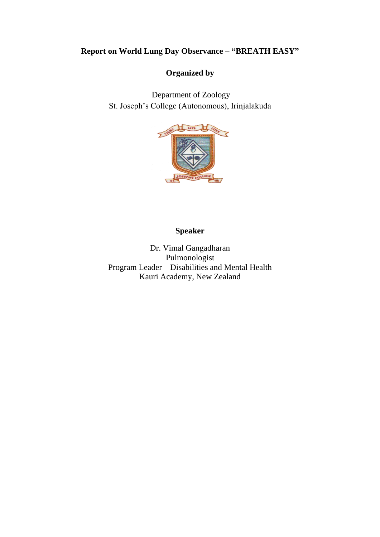# **Report on World Lung Day Observance – "BREATH EASY"**

#### **Organized by**

Department of Zoology St. Joseph's College (Autonomous), Irinjalakuda



# **Speaker**

Dr. Vimal Gangadharan Pulmonologist Program Leader – Disabilities and Mental Health Kauri Academy, New Zealand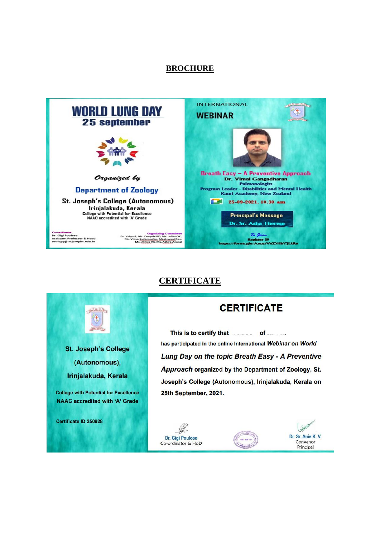#### **BROCHURE**



### **CERTIFICATE**



### **CERTIFICATE**

This is to certify that **container** of .......... has participated in the online International Webinar on World Lung Day on the topic Breath Easy - A Preventive Approach organized by the Department of Zoology, St. Joseph's College (Autonomous), Irinjalakuda, Kerala on 25th September, 2021.



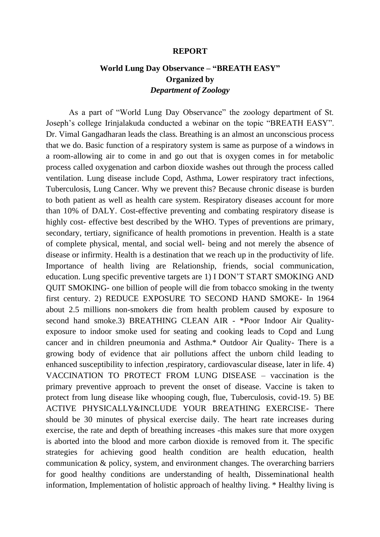#### **REPORT**

# **World Lung Day Observance – "BREATH EASY" Organized by** *Department of Zoology*

As a part of "World Lung Day Observance" the zoology department of St. Joseph's college Irinjalakuda conducted a webinar on the topic "BREATH EASY". Dr. Vimal Gangadharan leads the class. Breathing is an almost an unconscious process that we do. Basic function of a respiratory system is same as purpose of a windows in a room-allowing air to come in and go out that is oxygen comes in for metabolic process called oxygenation and carbon dioxide washes out through the process called ventilation. Lung disease include Copd, Asthma, Lower respiratory tract infections, Tuberculosis, Lung Cancer. Why we prevent this? Because chronic disease is burden to both patient as well as health care system. Respiratory diseases account for more than 10% of DALY. Cost-effective preventing and combating respiratory disease is highly cost- effective best described by the WHO. Types of preventions are primary, secondary, tertiary, significance of health promotions in prevention. Health is a state of complete physical, mental, and social well- being and not merely the absence of disease or infirmity. Health is a destination that we reach up in the productivity of life. Importance of health living are Relationship, friends, social communication, education. Lung specific preventive targets are 1) I DON'T START SMOKING AND QUIT SMOKING- one billion of people will die from tobacco smoking in the twenty first century. 2) REDUCE EXPOSURE TO SECOND HAND SMOKE- In 1964 about 2.5 millions non-smokers die from health problem caused by exposure to second hand smoke.3) BREATHING CLEAN AIR - \*Poor Indoor Air Qualityexposure to indoor smoke used for seating and cooking leads to Copd and Lung cancer and in children pneumonia and Asthma.\* Outdoor Air Quality- There is a growing body of evidence that air pollutions affect the unborn child leading to enhanced susceptibility to infection ,respiratory, cardiovascular disease, later in life. 4) VACCINATION TO PROTECT FROM LUNG DISEASE – vaccination is the primary preventive approach to prevent the onset of disease. Vaccine is taken to protect from lung disease like whooping cough, flue, Tuberculosis, covid-19. 5) BE ACTIVE PHYSICALLY&INCLUDE YOUR BREATHING EXERCISE- There should be 30 minutes of physical exercise daily. The heart rate increases during exercise, the rate and depth of breathing increases -this makes sure that more oxygen is aborted into the blood and more carbon dioxide is removed from it. The specific strategies for achieving good health condition are health education, health communication & policy, system, and environment changes. The overarching barriers for good healthy conditions are understanding of health, Disseminational health information, Implementation of holistic approach of healthy living. \* Healthy living is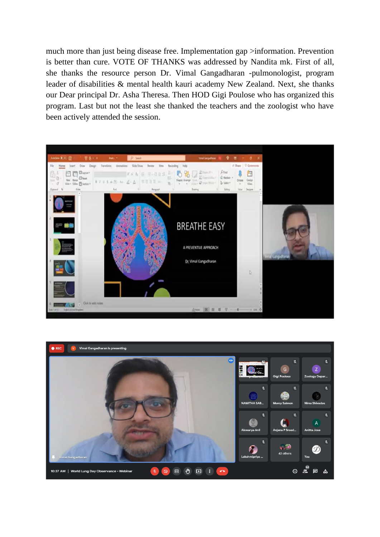much more than just being disease free. Implementation gap >information. Prevention is better than cure. VOTE OF THANKS was addressed by Nandita mk. First of all, she thanks the resource person Dr. Vimal Gangadharan -pulmonologist, program leader of disabilities & mental health kauri academy New Zealand. Next, she thanks our Dear principal Dr. Asha Theresa. Then HOD Gigi Poulose who has organized this program. Last but not the least she thanked the teachers and the zoologist who have been actively attended the session.



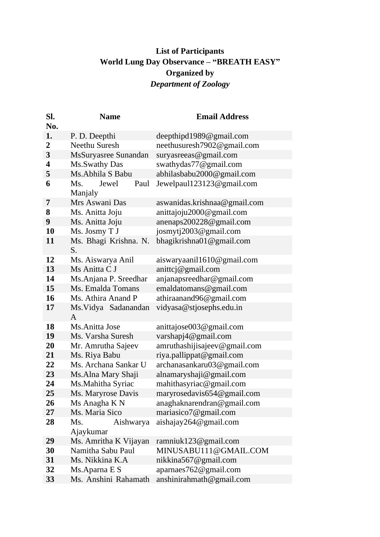# **List of Participants World Lung Day Observance – "BREATH EASY" Organized by** *Department of Zoology*

| Sl.<br>No.     | <b>Name</b>                   | <b>Email Address</b>         |
|----------------|-------------------------------|------------------------------|
| 1.             | P. D. Deepthi                 | deepthipd1989@gmail.com      |
| $\overline{2}$ | Neethu Suresh                 | neethusuresh7902@gmail.com   |
| 3              | MsSuryasree Sunandan          | suryasreeas@gmail.com        |
| 4              | Ms.Swathy Das                 | swathydas77@gmail.com        |
| 5              | Ms.Abhila S Babu              | abhilasbabu2000@gmail.com    |
| 6              | Paul<br>Ms.<br>Jewel          | Jewelpaul123123@gmail.com    |
|                | Manjaly                       |                              |
| 7              | Mrs Aswani Das                | aswanidas.krishnaa@gmail.com |
| 8              | Ms. Anitta Joju               | anittajoju2000@gmail.com     |
| 9              | Ms. Anitta Joju               | anenaps200228@gmail.com      |
| 10             | Ms. Josmy T J                 | josmytj2003@gmail.com        |
| 11             | Ms. Bhagi Krishna. N.<br>S.   | bhagikrishna01@gmail.com     |
| 12             | Ms. Aiswarya Anil             | aiswaryaanil1610@gmail.com   |
| 13             | Ms Anitta C J                 | anittcj@gmail.com            |
| 14             | Ms.Anjana P. Sreedhar         | anjanapsreedhar@gmail.com    |
| 15             | Ms. Emalda Tomans             | emaldatomans@gmail.com       |
| 16             | Ms. Athira Anand P            | athiraanand96@gmail.com      |
| 17             | Ms. Vidya Sadanandan<br>A     | vidyasa@stjosephs.edu.in     |
| 18             | Ms.Anitta Jose                | anittajose003@gmail.com      |
| 19             | Ms. Varsha Suresh             | varshapj4@gmail.com          |
| 20             | Mr. Amrutha Sajeev            | amruthashijisajeev@gmail.com |
| 21             | Ms. Riya Babu                 | riya.pallippat@gmail.com     |
| 22             | Ms. Archana Sankar U          | archanasankaru03@gmail.com   |
| 23             | Ms.Alna Mary Shaji            | alnamaryshaji@gmail.com      |
| 24             | Ms.Mahitha Syriac             | mahithasyriac@gmail.com      |
| 25             | Ms. Maryrose Davis            | maryrosedavis654@gmail.com   |
| 26             | Ms Anagha K N                 | anaghaknarendran@gmail.com   |
| 27             | Ms. Maria Sico                | mariasico7@gmail.com         |
| 28             | Ms.<br>Aishwarya<br>Ajaykumar | aishajay264@gmail.com        |
| 29             | Ms. Amritha K Vijayan         | ramniuk123@gmail.com         |
| 30             | Namitha Sabu Paul             | MINUSABU111@GMAIL.COM        |
| 31             | Ms. Nikkina K.A               | nikkina567@gmail.com         |
| 32             | Ms.Aparna E S                 | aparnaes762@gmail.com        |
| 33             | Ms. Anshini Rahamath          | anshinirahmath@gmail.com     |